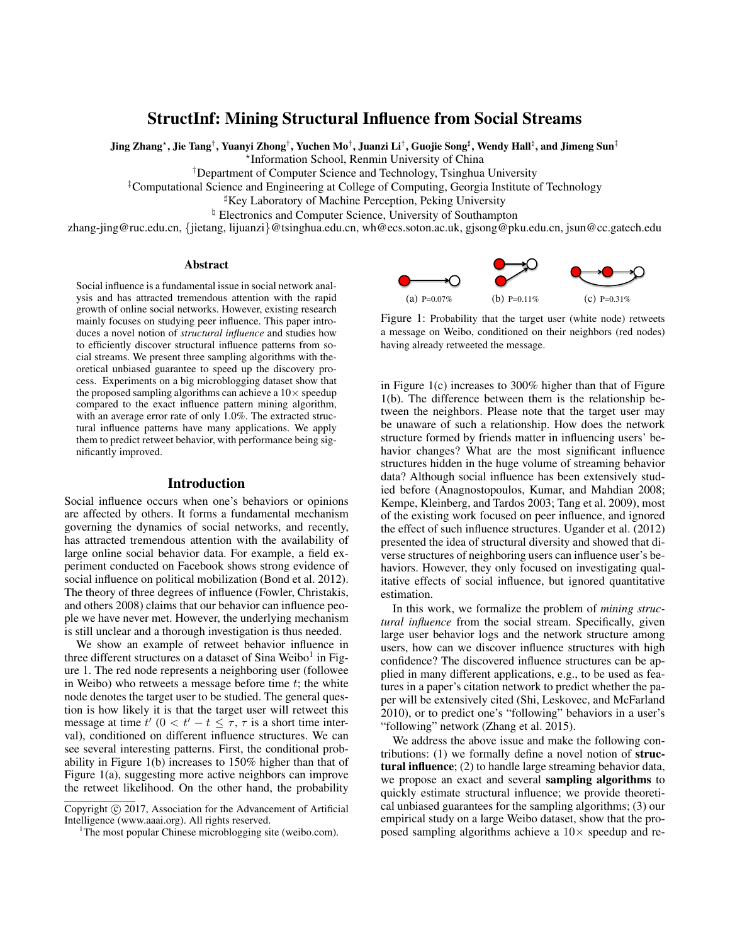# StructInf: Mining Structural Influence from Social Streams

Jing Zhang\*, Jie Tang†, Yuanyi Zhong†, Yuchen Mo†, Juanzi Li†, Guojie Song‡, Wendy Hall‡, and Jimeng Sun‡

? Information School, Renmin University of China

†Department of Computer Science and Technology, Tsinghua University

‡Computational Science and Engineering at College of Computing, Georgia Institute of Technology

 ${}^{\sharp}$ Key Laboratory of Machine Perception, Peking University

<sup> $\natural$ </sup> Electronics and Computer Science, University of Southampton

zhang-jing@ruc.edu.cn, {jietang, lijuanzi}@tsinghua.edu.cn, wh@ecs.soton.ac.uk, gjsong@pku.edu.cn, jsun@cc.gatech.edu

### Abstract

Social influence is a fundamental issue in social network analysis and has attracted tremendous attention with the rapid growth of online social networks. However, existing research mainly focuses on studying peer influence. This paper introduces a novel notion of *structural influence* and studies how to efficiently discover structural influence patterns from social streams. We present three sampling algorithms with theoretical unbiased guarantee to speed up the discovery process. Experiments on a big microblogging dataset show that the proposed sampling algorithms can achieve a  $10\times$  speedup compared to the exact influence pattern mining algorithm, with an average error rate of only 1.0%. The extracted structural influence patterns have many applications. We apply them to predict retweet behavior, with performance being significantly improved.

## Introduction

Social influence occurs when one's behaviors or opinions are affected by others. It forms a fundamental mechanism governing the dynamics of social networks, and recently, has attracted tremendous attention with the availability of large online social behavior data. For example, a field experiment conducted on Facebook shows strong evidence of social influence on political mobilization (Bond et al. 2012). The theory of three degrees of influence (Fowler, Christakis, and others 2008) claims that our behavior can influence people we have never met. However, the underlying mechanism is still unclear and a thorough investigation is thus needed.

We show an example of retweet behavior influence in three different structures on a dataset of Sina Weibo<sup>1</sup> in Figure 1. The red node represents a neighboring user (followee in Weibo) who retweets a message before time  $t$ ; the white node denotes the target user to be studied. The general question is how likely it is that the target user will retweet this message at time  $t'$   $(0 < t' - t \leq \tau, \tau$  is a short time interval), conditioned on different influence structures. We can see several interesting patterns. First, the conditional probability in Figure 1(b) increases to 150% higher than that of Figure 1(a), suggesting more active neighbors can improve the retweet likelihood. On the other hand, the probability



Figure 1: Probability that the target user (white node) retweets a message on Weibo, conditioned on their neighbors (red nodes) having already retweeted the message.

in Figure 1(c) increases to 300% higher than that of Figure 1(b). The difference between them is the relationship between the neighbors. Please note that the target user may be unaware of such a relationship. How does the network structure formed by friends matter in influencing users' behavior changes? What are the most significant influence structures hidden in the huge volume of streaming behavior data? Although social influence has been extensively studied before (Anagnostopoulos, Kumar, and Mahdian 2008; Kempe, Kleinberg, and Tardos 2003; Tang et al. 2009), most of the existing work focused on peer influence, and ignored the effect of such influence structures. Ugander et al. (2012) presented the idea of structural diversity and showed that diverse structures of neighboring users can influence user's behaviors. However, they only focused on investigating qualitative effects of social influence, but ignored quantitative estimation.

In this work, we formalize the problem of *mining structural influence* from the social stream. Specifically, given large user behavior logs and the network structure among users, how can we discover influence structures with high confidence? The discovered influence structures can be applied in many different applications, e.g., to be used as features in a paper's citation network to predict whether the paper will be extensively cited (Shi, Leskovec, and McFarland 2010), or to predict one's "following" behaviors in a user's "following" network (Zhang et al. 2015).

We address the above issue and make the following contributions: (1) we formally define a novel notion of structural influence; (2) to handle large streaming behavior data, we propose an exact and several sampling algorithms to quickly estimate structural influence; we provide theoretical unbiased guarantees for the sampling algorithms; (3) our empirical study on a large Weibo dataset, show that the proposed sampling algorithms achieve a  $10\times$  speedup and re-

Copyright (c) 2017, Association for the Advancement of Artificial Intelligence (www.aaai.org). All rights reserved.

<sup>&</sup>lt;sup>1</sup>The most popular Chinese microblogging site (weibo.com).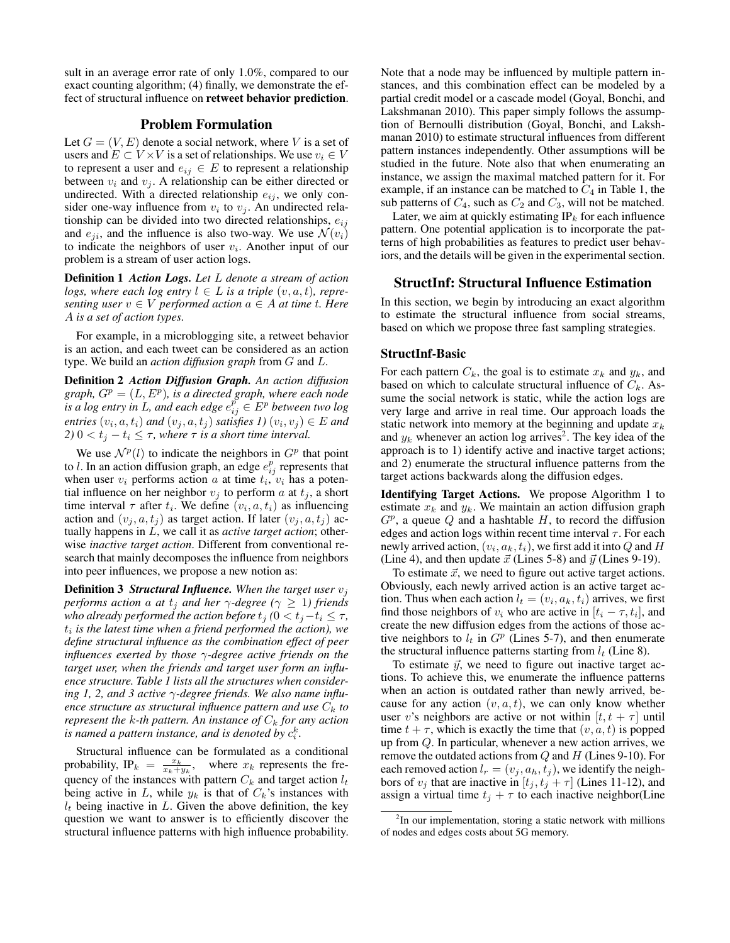sult in an average error rate of only 1.0%, compared to our exact counting algorithm; (4) finally, we demonstrate the effect of structural influence on retweet behavior prediction.

# Problem Formulation

Let  $G = (V, E)$  denote a social network, where V is a set of users and  $E \subset V \times V$  is a set of relationships. We use  $v_i \in V$ to represent a user and  $e_{ij} \in E$  to represent a relationship between  $v_i$  and  $v_j$ . A relationship can be either directed or undirected. With a directed relationship  $e_{ij}$ , we only consider one-way influence from  $v_i$  to  $v_j$ . An undirected relationship can be divided into two directed relationships,  $e_{ij}$ and  $e_{ii}$ , and the influence is also two-way. We use  $\mathcal{N}(v_i)$ to indicate the neighbors of user  $v_i$ . Another input of our problem is a stream of user action logs.

Definition 1 *Action Logs. Let* L *denote a stream of action logs, where each log entry*  $l \in L$  *is a triple*  $(v, a, t)$ *, representing user*  $v \in V$  *performed action*  $a \in A$  *at time t. Here* A *is a set of action types.*

For example, in a microblogging site, a retweet behavior is an action, and each tweet can be considered as an action type. We build an *action diffusion graph* from G and L.

Definition 2 *Action Diffusion Graph. An action diffusion*  $graph, G<sup>p</sup> = (L, E<sup>p</sup>)$ , *is a directed graph, where each node* is a log entry in L, and each edge  $e_{ij}^p \in E^p$  between two log  $entries(v_i, a, t_i)$  and  $(v_j, a, t_j)$  satisfies  $I(v_i, v_j) \in E$  and *2)*  $0 < t_j - t_i \leq \tau$ , where  $\tau$  *is a short time interval.* 

We use  $\mathcal{N}^p(l)$  to indicate the neighbors in  $G^p$  that point to *l*. In an action diffusion graph, an edge  $e_{ij}^p$  represents that when user  $v_i$  performs action a at time  $t_i$ ,  $v_i$  has a potential influence on her neighbor  $v_i$  to perform a at  $t_i$ , a short time interval  $\tau$  after  $t_i$ . We define  $(v_i, a, t_i)$  as influencing action and  $(v_j, a, t_j)$  as target action. If later  $(v_j, a, t_j)$  actually happens in L, we call it as *active target action*; otherwise *inactive target action*. Different from conventional research that mainly decomposes the influence from neighbors into peer influences, we propose a new notion as:

Definition 3 *Structural Influence. When the target user* v<sup>j</sup> *performs action* a *at*  $t_j$  *and her*  $\gamma$ *-degree* ( $\gamma \geq 1$ *) friends who already performed the action before*  $t_j$  *(*0  $\lt t_j - t_i \leq \tau$ *,*  $t_i$  is the latest time when a friend performed the action), we *define structural influence as the combination effect of peer influences exerted by those* γ*-degree active friends on the target user, when the friends and target user form an influence structure. Table 1 lists all the structures when considering 1, 2, and 3 active* γ*-degree friends. We also name influence structure as structural influence pattern and use*  $C_k$  *to represent the*  $k$ -th pattern. An instance of  $C_k$  for any action is named a pattern instance, and is denoted by  $c_i^k$ .

Structural influence can be formulated as a conditional probability, IP<sub>k</sub> =  $\frac{x_k}{x_k+y_k}$ , where  $x_k$  represents the frequency of the instances with pattern  $C_k$  and target action  $l_t$ being active in L, while  $y_k$  is that of  $C_k$ 's instances with  $l_t$  being inactive in L. Given the above definition, the key question we want to answer is to efficiently discover the structural influence patterns with high influence probability. Note that a node may be influenced by multiple pattern instances, and this combination effect can be modeled by a partial credit model or a cascade model (Goyal, Bonchi, and Lakshmanan 2010). This paper simply follows the assumption of Bernoulli distribution (Goyal, Bonchi, and Lakshmanan 2010) to estimate structural influences from different pattern instances independently. Other assumptions will be studied in the future. Note also that when enumerating an instance, we assign the maximal matched pattern for it. For example, if an instance can be matched to  $C_4$  in Table 1, the sub patterns of  $C_4$ , such as  $C_2$  and  $C_3$ , will not be matched.

Later, we aim at quickly estimating  $IP_k$  for each influence pattern. One potential application is to incorporate the patterns of high probabilities as features to predict user behaviors, and the details will be given in the experimental section.

## StructInf: Structural Influence Estimation

In this section, we begin by introducing an exact algorithm to estimate the structural influence from social streams, based on which we propose three fast sampling strategies.

### StructInf-Basic

For each pattern  $C_k$ , the goal is to estimate  $x_k$  and  $y_k$ , and based on which to calculate structural influence of  $C_k$ . Assume the social network is static, while the action logs are very large and arrive in real time. Our approach loads the static network into memory at the beginning and update  $x_k$ and  $y_k$  whenever an action log arrives<sup>2</sup>. The key idea of the approach is to 1) identify active and inactive target actions; and 2) enumerate the structural influence patterns from the target actions backwards along the diffusion edges.

Identifying Target Actions. We propose Algorithm 1 to estimate  $x_k$  and  $y_k$ . We maintain an action diffusion graph  $G<sup>p</sup>$ , a queue Q and a hashtable H, to record the diffusion edges and action logs within recent time interval  $\tau$ . For each newly arrived action,  $(v_i,a_k,t_i)$ , we first add it into  $Q$  and  $H$ (Line 4), and then update  $\vec{x}$  (Lines 5-8) and  $\vec{y}$  (Lines 9-19).

To estimate  $\vec{x}$ , we need to figure out active target actions. Obviously, each newly arrived action is an active target action. Thus when each action  $l_t = (v_i, a_k, t_i)$  arrives, we first find those neighbors of  $v_i$  who are active in  $[t_i - \tau, t_i]$ , and create the new diffusion edges from the actions of those active neighbors to  $l_t$  in  $G^p$  (Lines 5-7), and then enumerate the structural influence patterns starting from  $l_t$  (Line 8).

To estimate  $\vec{y}$ , we need to figure out inactive target actions. To achieve this, we enumerate the influence patterns when an action is outdated rather than newly arrived, because for any action  $(v, a, t)$ , we can only know whether user v's neighbors are active or not within  $[t, t + \tau]$  until time  $t + \tau$ , which is exactly the time that  $(v, a, t)$  is popped up from Q. In particular, whenever a new action arrives, we remove the outdated actions from  $Q$  and  $H$  (Lines 9-10). For each removed action  $l_r = (v_i, a_h, t_i)$ , we identify the neighbors of  $v_j$  that are inactive in  $[t_j, t_j + \tau]$  (Lines 11-12), and assign a virtual time  $t_j + \tau$  to each inactive neighbor(Line

<sup>&</sup>lt;sup>2</sup>In our implementation, storing a static network with millions of nodes and edges costs about 5G memory.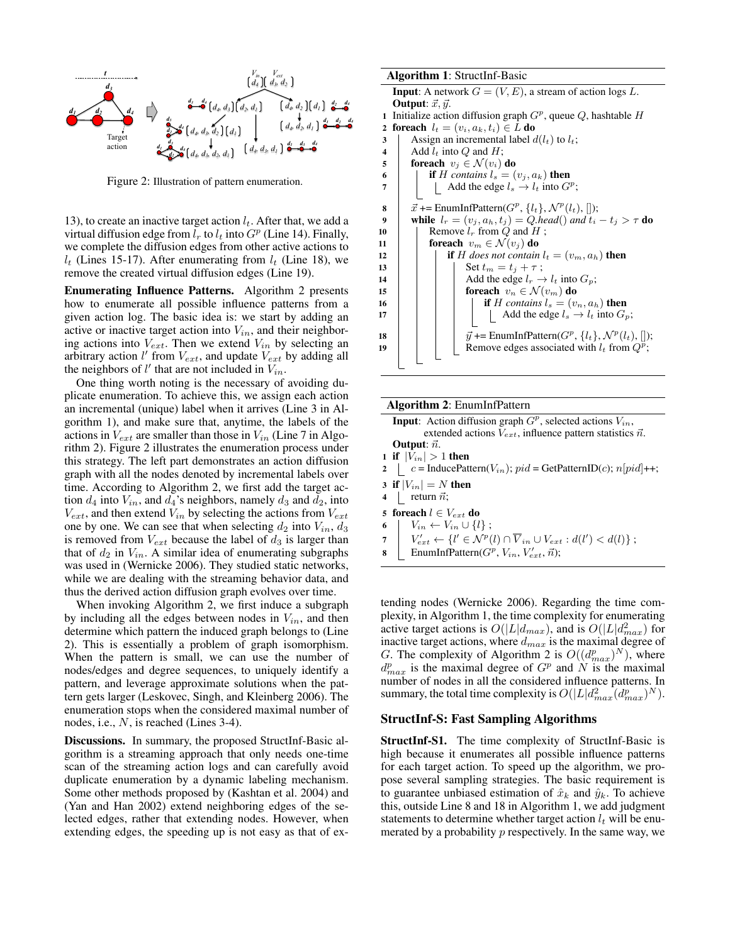

Figure 2: Illustration of pattern enumeration.

13), to create an inactive target action  $l_t$ . After that, we add a virtual diffusion edge from  $l_r$  to  $l_t$  into  $G^p$  (Line 14). Finally, we complete the diffusion edges from other active actions to  $l_t$  (Lines 15-17). After enumerating from  $l_t$  (Line 18), we remove the created virtual diffusion edges (Line 19).

Enumerating Influence Patterns. Algorithm 2 presents how to enumerate all possible influence patterns from a given action log. The basic idea is: we start by adding an active or inactive target action into  $V_{in}$ , and their neighboring actions into  $V_{ext}$ . Then we extend  $V_{in}$  by selecting an arbitrary action l' from  $V_{ext}$ , and update  $V_{ext}$  by adding all the neighbors of  $l'$  that are not included in  $V_{in}$ .

One thing worth noting is the necessary of avoiding duplicate enumeration. To achieve this, we assign each action an incremental (unique) label when it arrives (Line 3 in Algorithm 1), and make sure that, anytime, the labels of the actions in  $V_{ext}$  are smaller than those in  $V_{in}$  (Line 7 in Algorithm 2). Figure 2 illustrates the enumeration process under this strategy. The left part demonstrates an action diffusion graph with all the nodes denoted by incremental labels over time. According to Algorithm 2, we first add the target action  $d_4$  into  $V_{in}$ , and  $d_4$ 's neighbors, namely  $d_3$  and  $d_2$ , into  $V_{ext}$ , and then extend  $V_{in}$  by selecting the actions from  $V_{ext}$ one by one. We can see that when selecting  $d_2$  into  $V_{in}$ ,  $d_3$ is removed from  $V_{ext}$  because the label of  $d_3$  is larger than that of  $d_2$  in  $V_{in}$ . A similar idea of enumerating subgraphs was used in (Wernicke 2006). They studied static networks, while we are dealing with the streaming behavior data, and thus the derived action diffusion graph evolves over time.

When invoking Algorithm 2, we first induce a subgraph by including all the edges between nodes in  $V_{in}$ , and then determine which pattern the induced graph belongs to (Line 2). This is essentially a problem of graph isomorphism. When the pattern is small, we can use the number of nodes/edges and degree sequences, to uniquely identify a pattern, and leverage approximate solutions when the pattern gets larger (Leskovec, Singh, and Kleinberg 2006). The enumeration stops when the considered maximal number of nodes, i.e., N, is reached (Lines 3-4).

Discussions. In summary, the proposed StructInf-Basic algorithm is a streaming approach that only needs one-time scan of the streaming action logs and can carefully avoid duplicate enumeration by a dynamic labeling mechanism. Some other methods proposed by (Kashtan et al. 2004) and (Yan and Han 2002) extend neighboring edges of the selected edges, rather that extending nodes. However, when extending edges, the speeding up is not easy as that of ex-

#### Algorithm 1: StructInf-Basic

```
Input: A network G = (V, E), a stream of action logs L.
   Output: \vec{x}, \vec{y}.
 1 Initialize action diffusion graph G^p, queue Q, hashtable H2 foreach l_t = (v_i, a_k, t_i) \in L do
3 Assign an incremental label d(l_t) to l_t;<br>Add l_t into Q and H;
        Add l_t into Q and H;
5 foreach v_i \in \mathcal{N}(v_i) do
6 if H contains l_s = (v_j, a_k) then
 7 | | Add the edge l_s \to l_t into G^p;
 8 \vec{x} += EnumInfPattern(G^p, \{l_t\}, \mathcal{N}^p(l_t), []);
9 while l_r = (v_j, a_h, t_j) = Q \cdot head() and t_i - t_j > \tau do
10 | Remove l_r from Q and H;
11 foreach v_m \in \mathcal{N}(v_j) do
12 if H does not contain l_t = (v_m, a_h) then
13 | | | Set t_m = t_j + \tau;
14 \vert \vert \vert \vert Add the edge l_r \rightarrow l_t into G_p;
15 for in foreach v_n \in \mathcal{N}(v_m) do
16 i if H contains l_s = (v_n, a_h) then<br>
17 i Add the edge l_s \rightarrow l_t into G_t| Add the edge l_s \rightarrow l_t into G_p;
18 |\qquad \vec{y} \text{ +}=\text{EnumInfPattern}(G^p, \{l_t\}, \mathcal{N}^p(l_t), []);
19 | Remove edges associated with l_t from Q^{\vec{p}};
```
#### Algorithm 2: EnumInfPattern

**Input:** Action diffusion graph  $G^p$ , selected actions  $V_{in}$ , extended actions  $V_{ext}$ , influence pattern statistics  $\vec{n}$ . Output:  $\vec{n}$ . 1 if  $|V_{in}| > 1$  then 2 c = InducePattern( $V_{in}$ );  $pid = \text{GetPatternID}(c)$ ;  $n[pid]++;$ 3 if  $|V_{in}| = N$  then 4 | return  $\vec{n}$ ; 5 foreach  $l \in V_{ext}$ do 6 |  $V_{in} \leftarrow V_{in} \cup \{l\};$ 7  $\big| V'_{ext} \leftarrow \{l' \in \mathcal{N}^p(l) \cap \overline{V}_{in} \cup V_{ext} : d(l') < d(l) \};$ **8** EnumInfPattern( $G^p$ ,  $V_{in}$ ,  $V'_{ext}$ ,  $\vec{n}$ );

tending nodes (Wernicke 2006). Regarding the time complexity, in Algorithm 1, the time complexity for enumerating active target actions is  $O(|L|d_{max})$ , and is  $O(|L|d_{max}^2)$  for inactive target actions, where  $d_{max}$  is the maximal degree of G. The complexity of Algorithm 2 is  $O((d_{max}^p)^N)$ , where  $d_{max}^p$  is the maximal degree of  $G^p$  and N is the maximal number of nodes in all the considered influence patterns. In summary, the total time complexity is  $O(|L|d_{max}^2(d_{max}^p)^N)$ .

# StructInf-S: Fast Sampling Algorithms

StructInf-S1. The time complexity of StructInf-Basic is high because it enumerates all possible influence patterns for each target action. To speed up the algorithm, we propose several sampling strategies. The basic requirement is to guarantee unbiased estimation of  $\hat{x}_k$  and  $\hat{y}_k$ . To achieve this, outside Line 8 and 18 in Algorithm 1, we add judgment statements to determine whether target action  $l_t$  will be enumerated by a probability  $p$  respectively. In the same way, we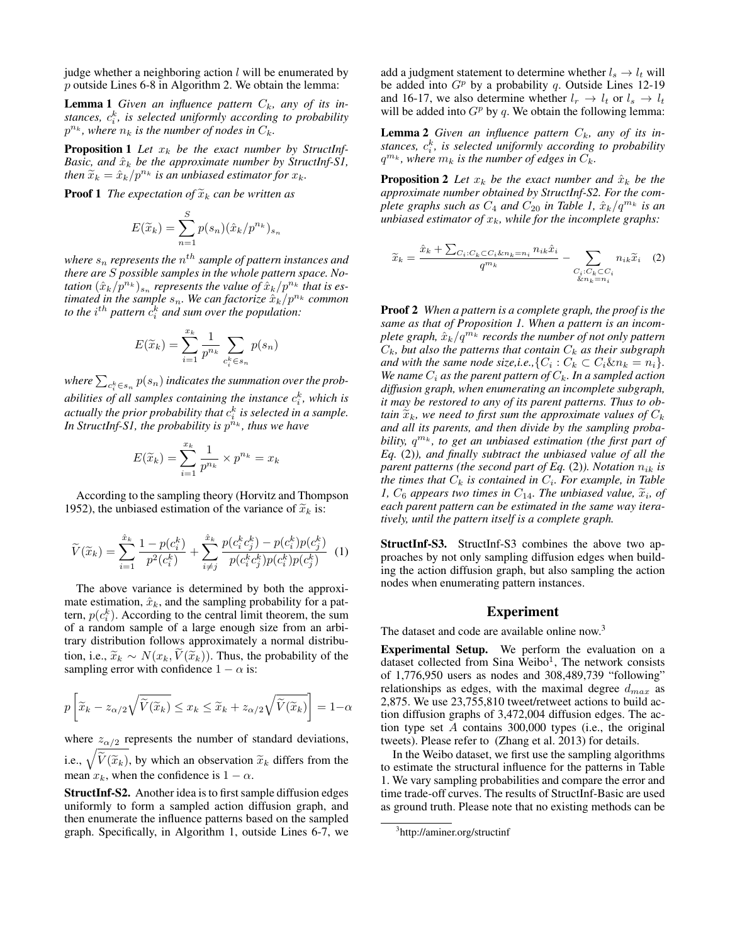judge whether a neighboring action  $l$  will be enumerated by p outside Lines 6-8 in Algorithm 2. We obtain the lemma:

**Lemma 1** Given an influence pattern  $C_k$ , any of its instances,  $c_i^k$ , is selected uniformly according to probability  $p^{n_k}$ , where  $n_k$  is the number of nodes in  $C_k$ .

Proposition 1 Let  $x_k$  be the exact number by StructInf-*Basic, and*  $\hat{x}_k$  *be the approximate number by StructInf-S1, then*  $\widetilde{x}_k = \hat{x}_k/p^{n_k}$  *is an unbiased estimator for*  $x_k$ *.* 

**Proof 1** *The expectation of*  $\widetilde{x}_k$  *can be written as* 

$$
E(\widetilde{x}_k) = \sum_{n=1}^{S} p(s_n) (\hat{x}_k / p^{n_k})_{s_n}
$$

where  $s_n$  represents the  $n^{th}$  sample of pattern instances and *there are* S *possible samples in the whole pattern space. No*tation  $(\hat{x}_k/p^{n_k})_{s_n}$  represents the value of  $\hat{x}_k/p^{n_k}$  that is es*timated in the sample*  $s_n$ *. We can factorize*  $\hat{x}_k/p^{n_k}$  *common* to the  $i^{th}$  pattern  $\hat{c}_i^k$  and sum over the population:

$$
E(\widetilde{x}_k) = \sum_{i=1}^{x_k} \frac{1}{p^{n_k}} \sum_{c_i^k \in s_n} p(s_n)
$$

where  $\sum_{c_i^k \in s_n} p(s_n)$  indicates the summation over the prob*abilities of all samples containing the instance*  $c_i^k$ *, which is* actually the prior probability that  $c_i^k$  is selected in a sample. In StructInf-S1, the probability is  $p^{n_k}$ , thus we have

$$
E(\widetilde{x}_k) = \sum_{i=1}^{x_k} \frac{1}{p^{n_k}} \times p^{n_k} = x_k
$$

According to the sampling theory (Horvitz and Thompson 1952), the unbiased estimation of the variance of  $\tilde{x}_k$  is:

$$
\widetilde{V}(\widetilde{x}_k) = \sum_{i=1}^{\hat{x}_k} \frac{1 - p(c_i^k)}{p^2(c_i^k)} + \sum_{i \neq j}^{\hat{x}_k} \frac{p(c_i^k c_j^k) - p(c_i^k)p(c_j^k)}{p(c_i^k c_j^k)p(c_i^k)p(c_j^k)} \tag{1}
$$

The above variance is determined by both the approximate estimation,  $\hat{x}_k$ , and the sampling probability for a pattern,  $p(c_i^k)$ . According to the central limit theorem, the sum of a random sample of a large enough size from an arbitrary distribution follows approximately a normal distribution, i.e.,  $\widetilde{x}_k \sim N(x_k, \widetilde{V}(\widetilde{x}_k))$ . Thus, the probability of the sampling error with confidence  $1 - \alpha$  is:

$$
p\left[\widetilde{x}_{k} - z_{\alpha/2}\sqrt{\widetilde{V}(\widetilde{x}_{k})} \leq x_{k} \leq \widetilde{x}_{k} + z_{\alpha/2}\sqrt{\widetilde{V}(\widetilde{x}_{k})}\right] = 1 - \alpha
$$

where  $z_{\alpha/2}$  represents the number of standard deviations, i.e.,  $\sqrt{\tilde{V}(\tilde{x}_k)}$ , by which an observation  $\tilde{x}_k$  differs from the mean  $x_k$ , when the confidence is  $1 - \alpha$ .

StructInf-S2. Another idea is to first sample diffusion edges uniformly to form a sampled action diffusion graph, and then enumerate the influence patterns based on the sampled graph. Specifically, in Algorithm 1, outside Lines 6-7, we add a judgment statement to determine whether  $l_s \rightarrow l_t$  will be added into  $G^p$  by a probability q. Outside Lines 12-19 and 16-17, we also determine whether  $l_r \rightarrow l_t$  or  $l_s \rightarrow l_t$ will be added into  $G^p$  by q. We obtain the following lemma:

**Lemma 2** Given an influence pattern  $C_k$ , any of its instances,  $c_i^k$ , is selected uniformly according to probability  $q^{m_k}$ , where  $m_k$  is the number of edges in  $C_k$ .

**Proposition 2** Let  $x_k$  be the exact number and  $\hat{x}_k$  be the *approximate number obtained by StructInf-S2. For the complete graphs such as*  $C_4$  *and*  $C_{20}$  *in Table 1,*  $\hat{x}_k/q^{m_k}$  *is an unbiased estimator of*  $x_k$ *, while for the incomplete graphs:* 

$$
\widetilde{x}_k = \frac{\hat{x}_k + \sum_{C_i:C_k \subset C_i \& n_k = n_i} n_{ik} \hat{x}_i}{q^{m_k}} - \sum_{\substack{C_i:C_k \subset C_i \\ \& n_k = n_i}} n_{ik} \widetilde{x}_i \quad (2)
$$

Proof 2 *When a pattern is a complete graph, the proof is the same as that of Proposition 1. When a pattern is an incomplete graph,*  $\hat{x}_k/q^{m_k}$  *records the number of not only pattern*  $C_k$ *, but also the patterns that contain*  $C_k$  *as their subgraph and with the same node size,i.e.,* { $C_i$  :  $C_k \subset C_i \& n_k = n_i$ }. *We name*  $C_i$  *as the parent pattern of*  $C_k$ *. In a sampled action diffusion graph, when enumerating an incomplete subgraph, it may be restored to any of its parent patterns. Thus to obtain*  $\tilde{x}_k$ *, we need to first sum the approximate values of*  $C_k$ *and all its parents, and then divide by the sampling probability,*  $q^{m_k}$ , to get an unbiased estimation (the first part of *Eq.* (2)*), and finally subtract the unbiased value of all the parent patterns (the second part of Eq.* (2)). Notation  $n_{ik}$  is *the times that*  $C_k$  *is contained in*  $C_i$ *. For example, in Table i*,  $C_6$  appears two times in  $C_{14}$ . The unbiased value,  $\tilde{x}_i$ , of each parent pattern can be estimated in the same way itera*each parent pattern can be estimated in the same way iteratively, until the pattern itself is a complete graph.*

StructInf-S3. StructInf-S3 combines the above two approaches by not only sampling diffusion edges when building the action diffusion graph, but also sampling the action nodes when enumerating pattern instances.

# Experiment

The dataset and code are available online now.<sup>3</sup>

Experimental Setup. We perform the evaluation on a dataset collected from Sina Weibo<sup>1</sup>, The network consists of 1,776,950 users as nodes and 308,489,739 "following" relationships as edges, with the maximal degree  $d_{max}$  as 2,875. We use 23,755,810 tweet/retweet actions to build action diffusion graphs of 3,472,004 diffusion edges. The action type set A contains 300,000 types (i.e., the original tweets). Please refer to (Zhang et al. 2013) for details.

In the Weibo dataset, we first use the sampling algorithms to estimate the structural influence for the patterns in Table 1. We vary sampling probabilities and compare the error and time trade-off curves. The results of StructInf-Basic are used as ground truth. Please note that no existing methods can be

<sup>3</sup> http://aminer.org/structinf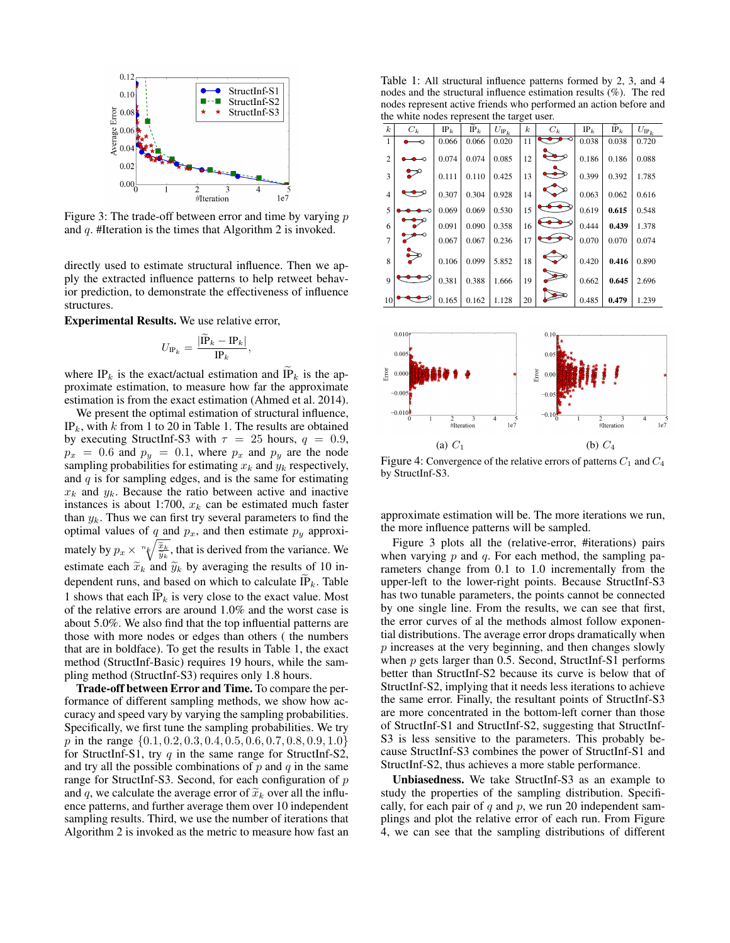

Figure 3: The trade-off between error and time by varying  $p$ and q. #Iteration is the times that Algorithm 2 is invoked.

directly used to estimate structural influence. Then we apply the extracted influence patterns to help retweet behavior prediction, to demonstrate the effectiveness of influence structures.

Experimental Results. We use relative error,

$$
U_{\text{IP}_k} = \frac{|\text{IP}_k - \text{IP}_k|}{\text{IP}_k},
$$

where IP<sub>k</sub> is the exact/actual estimation and IP<sub>k</sub> is the approximate estimation, to measure how far the approximate estimation is from the exact estimation (Ahmed et al. 2014).

We present the optimal estimation of structural influence, IP<sub>k</sub>, with k from 1 to 20 in Table 1. The results are obtained by executing StructInf-S3 with  $\tau = 25$  hours,  $q = 0.9$ ,  $p_x = 0.6$  and  $p_y = 0.1$ , where  $p_x$  and  $p_y$  are the node sampling probabilities for estimating  $x_k$  and  $y_k$  respectively, and  $q$  is for sampling edges, and is the same for estimating  $x_k$  and  $y_k$ . Because the ratio between active and inactive instances is about 1:700,  $x_k$  can be estimated much faster than  $y_k$ . Thus we can first try several parameters to find the optimal values of q and  $p_x$ , and then estimate  $p_y$  approximately by  $p_x \times {}^{n} \sqrt{\frac{\tilde{x}_k}{\tilde{y}_k}}$ , that is derived from the variance. We estimate each  $\tilde{x}_k$  and  $\tilde{y}_k$  by averaging the results of 10 independent runs, and based on which to calculate  $\tilde{\text{IP}}_k$ . Table 1 shows that each IP<sub>k</sub> is very close to the exact value. Most of the relative errors are around 1.0% and the worst case is about 5.0%. We also find that the top influential patterns are those with more nodes or edges than others ( the numbers that are in boldface). To get the results in Table 1, the exact method (StructInf-Basic) requires 19 hours, while the sampling method (StructInf-S3) requires only 1.8 hours.

Trade-off between Error and Time. To compare the performance of different sampling methods, we show how accuracy and speed vary by varying the sampling probabilities. Specifically, we first tune the sampling probabilities. We try p in the range  $\{0.1, 0.2, 0.3, 0.4, 0.5, 0.6, 0.7, 0.8, 0.9, 1.0\}$ for StructInf-S1, try  $q$  in the same range for StructInf-S2, and try all the possible combinations of  $p$  and  $q$  in the same range for StructInf-S3. Second, for each configuration of p and q, we calculate the average error of  $\tilde{x}_k$  over all the influence patterns, and further average them over 10 independent sampling results. Third, we use the number of iterations that Algorithm 2 is invoked as the metric to measure how fast an

Table 1: All structural influence patterns formed by 2, 3, and 4 nodes and the structural influence estimation results (%). The red nodes represent active friends who performed an action before and the white nodes represent the target user.

| $\boldsymbol{k}$ | $C_k$ | $IP_k$ | $IP_k$ | $U_{\rm IP_k}$ | $\boldsymbol{k}$ | $C_k$ | $IP_k$ | $IP_k$ | $U_{\mathrm{IP}_k}$ |
|------------------|-------|--------|--------|----------------|------------------|-------|--------|--------|---------------------|
| 1                | ю     | 0.066  | 0.066  | 0.020          | 11               |       | 0.038  | 0.038  | 0.720               |
| $\overline{c}$   |       | 0.074  | 0.074  | 0.085          | 12               |       | 0.186  | 0.186  | 0.088               |
| 3                | ご     | 0.111  | 0.110  | 0.425          | 13               |       | 0.399  | 0.392  | 1.785               |
| $\overline{4}$   |       | 0.307  | 0.304  | 0.928          | 14               |       | 0.063  | 0.062  | 0.616               |
| 5                |       | 0.069  | 0.069  | 0.530          | 15               |       | 0.619  | 0.615  | 0.548               |
| 6                |       | 0.091  | 0.090  | 0.358          | 16               |       | 0.444  | 0.439  | 1.378               |
| $\overline{7}$   |       | 0.067  | 0.067  | 0.236          | 17               |       | 0.070  | 0.070  | 0.074               |
| 8                |       | 0.106  | 0.099  | 5.852          | 18               |       | 0.420  | 0.416  | 0.890               |
| $\mathbf Q$      |       | 0.381  | 0.388  | 1.666          | 19               |       | 0.662  | 0.645  | 2.696               |
| 10               |       | 0.165  | 0.162  | 1.128          | 20               |       | 0.485  | 0.479  | 1.239               |



Figure 4: Convergence of the relative errors of patterns  $C_1$  and  $C_4$ by StructInf-S3.

approximate estimation will be. The more iterations we run, the more influence patterns will be sampled.

Figure 3 plots all the (relative-error, #iterations) pairs when varying  $p$  and  $q$ . For each method, the sampling parameters change from 0.1 to 1.0 incrementally from the upper-left to the lower-right points. Because StructInf-S3 has two tunable parameters, the points cannot be connected by one single line. From the results, we can see that first, the error curves of al the methods almost follow exponential distributions. The average error drops dramatically when p increases at the very beginning, and then changes slowly when  $p$  gets larger than 0.5. Second, StructInf-S1 performs better than StructInf-S2 because its curve is below that of StructInf-S2, implying that it needs less iterations to achieve the same error. Finally, the resultant points of StructInf-S3 are more concentrated in the bottom-left corner than those of StructInf-S1 and StructInf-S2, suggesting that StructInf-S3 is less sensitive to the parameters. This probably because StructInf-S3 combines the power of StructInf-S1 and StructInf-S2, thus achieves a more stable performance.

Unbiasedness. We take StructInf-S3 as an example to study the properties of the sampling distribution. Specifically, for each pair of  $q$  and  $p$ , we run 20 independent samplings and plot the relative error of each run. From Figure 4, we can see that the sampling distributions of different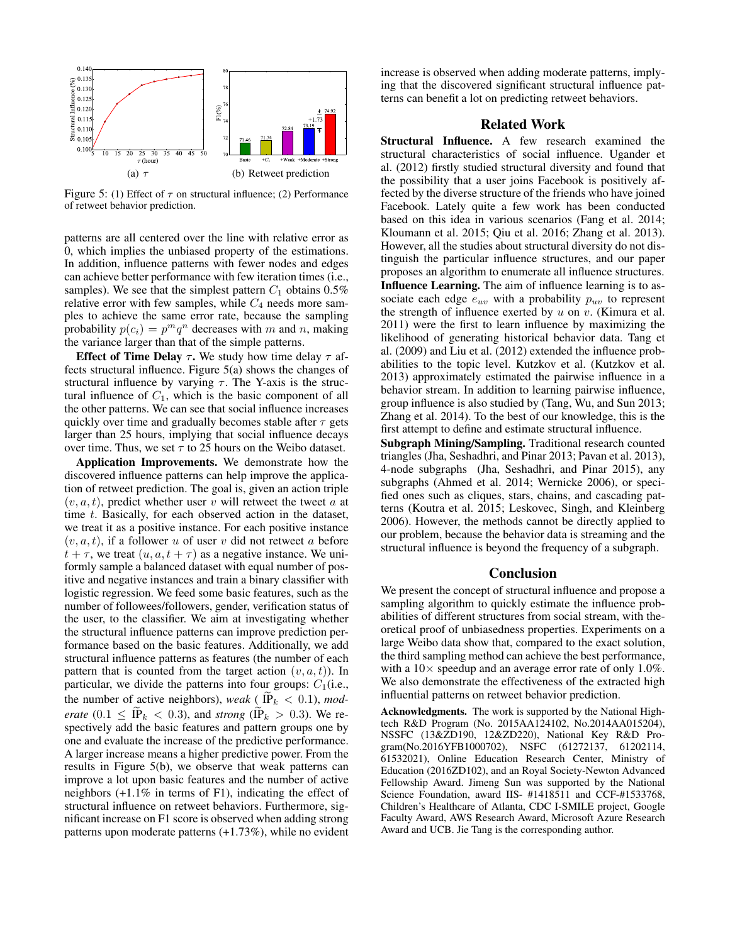

Figure 5: (1) Effect of  $\tau$  on structural influence; (2) Performance of retweet behavior prediction.

patterns are all centered over the line with relative error as 0, which implies the unbiased property of the estimations. In addition, influence patterns with fewer nodes and edges can achieve better performance with few iteration times (i.e., samples). We see that the simplest pattern  $C_1$  obtains 0.5% relative error with few samples, while  $C_4$  needs more samples to achieve the same error rate, because the sampling probability  $p(c_i) = p^m q^n$  decreases with m and n, making the variance larger than that of the simple patterns.

Effect of Time Delay  $\tau$ . We study how time delay  $\tau$  affects structural influence. Figure 5(a) shows the changes of structural influence by varying  $\tau$ . The Y-axis is the structural influence of  $C_1$ , which is the basic component of all the other patterns. We can see that social influence increases quickly over time and gradually becomes stable after  $\tau$  gets larger than 25 hours, implying that social influence decays over time. Thus, we set  $\tau$  to 25 hours on the Weibo dataset.

Application Improvements. We demonstrate how the discovered influence patterns can help improve the application of retweet prediction. The goal is, given an action triple  $(v, a, t)$ , predict whether user v will retweet the tweet a at time t. Basically, for each observed action in the dataset, we treat it as a positive instance. For each positive instance  $(v, a, t)$ , if a follower u of user v did not retweet a before  $t + \tau$ , we treat  $(u, a, t + \tau)$  as a negative instance. We uniformly sample a balanced dataset with equal number of positive and negative instances and train a binary classifier with logistic regression. We feed some basic features, such as the number of followees/followers, gender, verification status of the user, to the classifier. We aim at investigating whether the structural influence patterns can improve prediction performance based on the basic features. Additionally, we add structural influence patterns as features (the number of each pattern that is counted from the target action  $(v, a, t)$ ). In particular, we divide the patterns into four groups:  $C_1(i.e.,$ the number of active neighbors), *weak* ( $IP_k < 0.1$ ), *moderate* (0.1  $\leq \widetilde{IP}_k < 0.3$ ), and *strong* ( $\widetilde{IP}_k > 0.3$ ). We respectively add the basic features and pattern groups one by one and evaluate the increase of the predictive performance. A larger increase means a higher predictive power. From the results in Figure 5(b), we observe that weak patterns can improve a lot upon basic features and the number of active neighbors (+1.1% in terms of F1), indicating the effect of structural influence on retweet behaviors. Furthermore, significant increase on F1 score is observed when adding strong patterns upon moderate patterns (+1.73%), while no evident

increase is observed when adding moderate patterns, implying that the discovered significant structural influence patterns can benefit a lot on predicting retweet behaviors.

# Related Work

Structural Influence. A few research examined the structural characteristics of social influence. Ugander et al. (2012) firstly studied structural diversity and found that the possibility that a user joins Facebook is positively affected by the diverse structure of the friends who have joined Facebook. Lately quite a few work has been conducted based on this idea in various scenarios (Fang et al. 2014; Kloumann et al. 2015; Qiu et al. 2016; Zhang et al. 2013). However, all the studies about structural diversity do not distinguish the particular influence structures, and our paper proposes an algorithm to enumerate all influence structures. Influence Learning. The aim of influence learning is to associate each edge  $e_{uv}$  with a probability  $p_{uv}$  to represent the strength of influence exerted by  $u$  on  $v$ . (Kimura et al. 2011) were the first to learn influence by maximizing the likelihood of generating historical behavior data. Tang et al. (2009) and Liu et al. (2012) extended the influence probabilities to the topic level. Kutzkov et al. (Kutzkov et al. 2013) approximately estimated the pairwise influence in a behavior stream. In addition to learning pairwise influence, group influence is also studied by (Tang, Wu, and Sun 2013; Zhang et al. 2014). To the best of our knowledge, this is the first attempt to define and estimate structural influence.

Subgraph Mining/Sampling. Traditional research counted triangles (Jha, Seshadhri, and Pinar 2013; Pavan et al. 2013), 4-node subgraphs (Jha, Seshadhri, and Pinar 2015), any subgraphs (Ahmed et al. 2014; Wernicke 2006), or specified ones such as cliques, stars, chains, and cascading patterns (Koutra et al. 2015; Leskovec, Singh, and Kleinberg 2006). However, the methods cannot be directly applied to our problem, because the behavior data is streaming and the structural influence is beyond the frequency of a subgraph.

## **Conclusion**

We present the concept of structural influence and propose a sampling algorithm to quickly estimate the influence probabilities of different structures from social stream, with theoretical proof of unbiasedness properties. Experiments on a large Weibo data show that, compared to the exact solution, the third sampling method can achieve the best performance, with a  $10\times$  speedup and an average error rate of only 1.0%. We also demonstrate the effectiveness of the extracted high influential patterns on retweet behavior prediction.

Acknowledgments. The work is supported by the National Hightech R&D Program (No. 2015AA124102, No.2014AA015204), NSSFC (13&ZD190, 12&ZD220), National Key R&D Program(No.2016YFB1000702), NSFC (61272137, 61202114, 61532021), Online Education Research Center, Ministry of Education (2016ZD102), and an Royal Society-Newton Advanced Fellowship Award. Jimeng Sun was supported by the National Science Foundation, award IIS- #1418511 and CCF-#1533768, Children's Healthcare of Atlanta, CDC I-SMILE project, Google Faculty Award, AWS Research Award, Microsoft Azure Research Award and UCB. Jie Tang is the corresponding author.